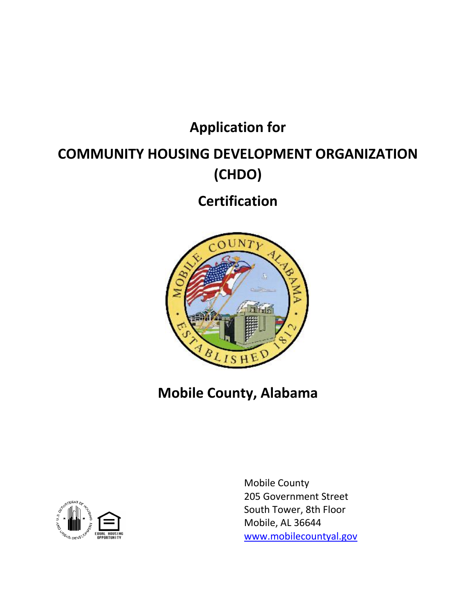## **Application for**

# **COMMUNITY HOUSING DEVELOPMENT ORGANIZATION (CHDO)**

**Certification**



## **Mobile County, Alabama**



Mobile County 205 Government Street South Tower, 8th Floor Mobile, AL 36644 www.mobilecountyal.gov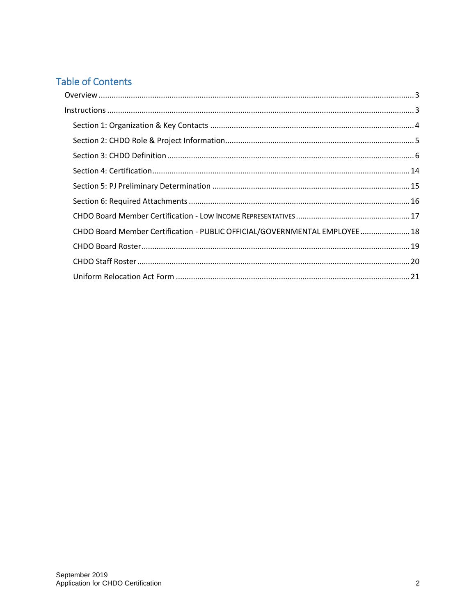## **Table of Contents**

| CHDO Board Member Certification - PUBLIC OFFICIAL/GOVERNMENTAL EMPLOYEE  18 |
|-----------------------------------------------------------------------------|
|                                                                             |
|                                                                             |
|                                                                             |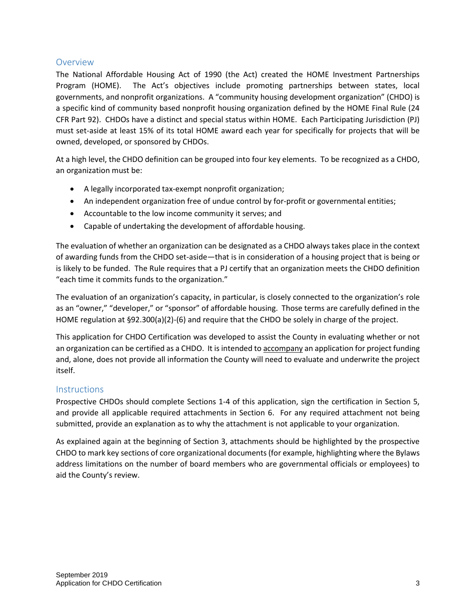## Overview

The National Affordable Housing Act of 1990 (the Act) created the HOME Investment Partnerships Program (HOME). The Act's objectives include promoting partnerships between states, local governments, and nonprofit organizations. A "community housing development organization" (CHDO) is a specific kind of community based nonprofit housing organization defined by the HOME Final Rule (24 CFR Part 92). CHDOs have a distinct and special status within HOME. Each Participating Jurisdiction (PJ) must set-aside at least 15% of its total HOME award each year for specifically for projects that will be owned, developed, or sponsored by CHDOs.

At a high level, the CHDO definition can be grouped into four key elements. To be recognized as a CHDO, an organization must be:

- A legally incorporated tax-exempt nonprofit organization;
- An independent organization free of undue control by for-profit or governmental entities;
- Accountable to the low income community it serves; and
- Capable of undertaking the development of affordable housing.

The evaluation of whether an organization can be designated as a CHDO always takes place in the context of awarding funds from the CHDO set-aside—that is in consideration of a housing project that is being or is likely to be funded. The Rule requires that a PJ certify that an organization meets the CHDO definition "each time it commits funds to the organization."

The evaluation of an organization's capacity, in particular, is closely connected to the organization's role as an "owner," "developer," or "sponsor" of affordable housing. Those terms are carefully defined in the HOME regulation at §92.300(a)(2)-(6) and require that the CHDO be solely in charge of the project.

This application for CHDO Certification was developed to assist the County in evaluating whether or not an organization can be certified as a CHDO. It is intended to accompany an application for project funding and, alone, does not provide all information the County will need to evaluate and underwrite the project itself.

## **Instructions**

Prospective CHDOs should complete Sections 1-4 of this application, sign the certification in Section 5, and provide all applicable required attachments in Section 6. For any required attachment not being submitted, provide an explanation as to why the attachment is not applicable to your organization.

As explained again at the beginning of Section 3, attachments should be highlighted by the prospective CHDO to mark key sections of core organizational documents (for example, highlighting where the Bylaws address limitations on the number of board members who are governmental officials or employees) to aid the County's review.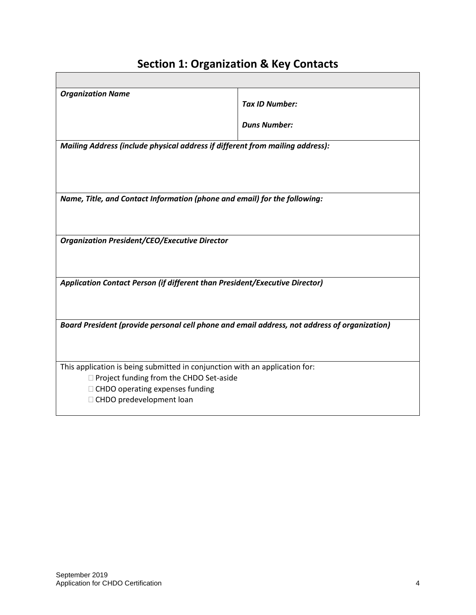| <b>Organization Name</b>                                                                     |                       |
|----------------------------------------------------------------------------------------------|-----------------------|
|                                                                                              | <b>Tax ID Number:</b> |
|                                                                                              | <b>Duns Number:</b>   |
|                                                                                              |                       |
| Mailing Address (include physical address if different from mailing address):                |                       |
|                                                                                              |                       |
|                                                                                              |                       |
|                                                                                              |                       |
|                                                                                              |                       |
| Name, Title, and Contact Information (phone and email) for the following:                    |                       |
|                                                                                              |                       |
|                                                                                              |                       |
|                                                                                              |                       |
| <b>Organization President/CEO/Executive Director</b>                                         |                       |
|                                                                                              |                       |
|                                                                                              |                       |
| Application Contact Person (if different than President/Executive Director)                  |                       |
|                                                                                              |                       |
|                                                                                              |                       |
|                                                                                              |                       |
| Board President (provide personal cell phone and email address, not address of organization) |                       |
|                                                                                              |                       |
|                                                                                              |                       |
|                                                                                              |                       |
| This application is being submitted in conjunction with an application for:                  |                       |
| □ Project funding from the CHDO Set-aside                                                    |                       |
| $\Box$ CHDO operating expenses funding                                                       |                       |
| □ CHDO predevelopment loan                                                                   |                       |

## **Section 1: Organization & Key Contacts**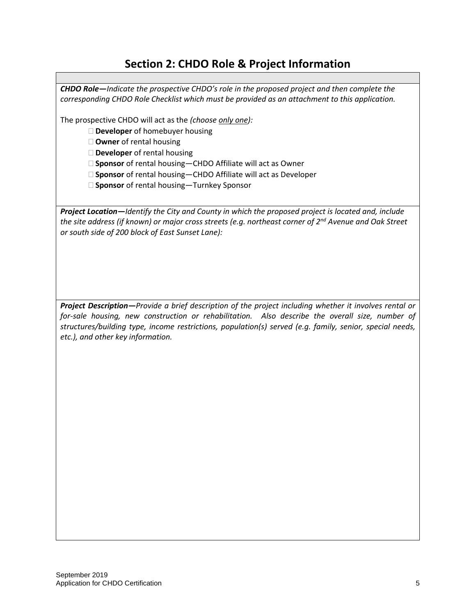## **Section 2: CHDO Role & Project Information**

*CHDO Role—Indicate the prospective CHDO's role in the proposed project and then complete the corresponding CHDO Role Checklist which must be provided as an attachment to this application.*

The prospective CHDO will act as the *(choose only one):*

**Developer** of homebuyer housing

**Owner** of rental housing

**Developer** of rental housing

□ **Sponsor** of rental housing–CHDO Affiliate will act as Owner

□ **Sponsor** of rental housing–CHDO Affiliate will act as Developer

**Sponsor** of rental housing—Turnkey Sponsor

*Project Location—Identify the City and County in which the proposed project is located and, include the site address (if known) or major cross streets (e.g. northeast corner of 2nd Avenue and Oak Street or south side of 200 block of East Sunset Lane):*

*Project Description—Provide a brief description of the project including whether it involves rental or for-sale housing, new construction or rehabilitation. Also describe the overall size, number of structures/building type, income restrictions, population(s) served (e.g. family, senior, special needs, etc.), and other key information.*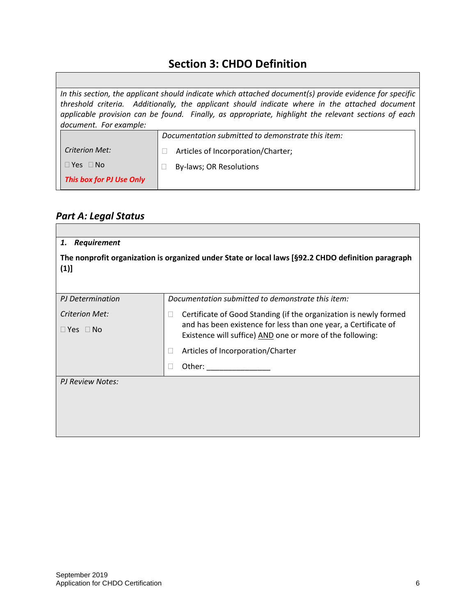## **Section 3: CHDO Definition**

|                          | In this section, the applicant should indicate which attached document(s) provide evidence for specific |
|--------------------------|---------------------------------------------------------------------------------------------------------|
|                          | threshold criteria. Additionally, the applicant should indicate where in the attached document          |
|                          | applicable provision can be found. Finally, as appropriate, highlight the relevant sections of each     |
| document. For example:   |                                                                                                         |
|                          | Documentation submitted to demonstrate this item:                                                       |
| <b>Criterion Met:</b>    | Articles of Incorporation/Charter;                                                                      |
| $\Box$ Yes $\Box$ No     | By-laws; OR Resolutions                                                                                 |
| This box for PJ Use Only |                                                                                                         |

## *Part A: Legal Status*

| <b>Requirement</b><br>1. |                                                                                                                                                                                                                                    |
|--------------------------|------------------------------------------------------------------------------------------------------------------------------------------------------------------------------------------------------------------------------------|
| (1)]                     | The nonprofit organization is organized under State or local laws [§92.2 CHDO definition paragraph                                                                                                                                 |
| PJ Determination         | Documentation submitted to demonstrate this item:                                                                                                                                                                                  |
| <b>Criterion Met:</b>    | Certificate of Good Standing (if the organization is newly formed                                                                                                                                                                  |
| $\Box$ Yes $\Box$ No     | and has been existence for less than one year, a Certificate of<br>Existence will suffice) AND one or more of the following:                                                                                                       |
|                          | Articles of Incorporation/Charter                                                                                                                                                                                                  |
|                          | Other: <u>with the second second</u> and the second second second second second second second second second second second second second second second second second second second second second second second second second second |
| PJ Review Notes:         |                                                                                                                                                                                                                                    |
|                          |                                                                                                                                                                                                                                    |
|                          |                                                                                                                                                                                                                                    |
|                          |                                                                                                                                                                                                                                    |
|                          |                                                                                                                                                                                                                                    |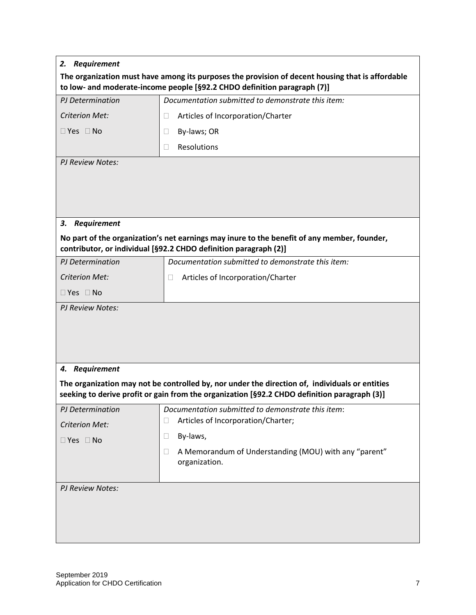|                         | The organization must have among its purposes the provision of decent housing that is affordable<br>to low- and moderate-income people [§92.2 CHDO definition paragraph (7)]                   |
|-------------------------|------------------------------------------------------------------------------------------------------------------------------------------------------------------------------------------------|
| PJ Determination        | Documentation submitted to demonstrate this item:                                                                                                                                              |
| <b>Criterion Met:</b>   | Articles of Incorporation/Charter<br>$\Box$                                                                                                                                                    |
| $\Box$ Yes $\Box$ No    | By-laws; OR<br>$\Box$                                                                                                                                                                          |
|                         | Resolutions<br>$\Box$                                                                                                                                                                          |
| <b>PJ Review Notes:</b> |                                                                                                                                                                                                |
|                         |                                                                                                                                                                                                |
|                         |                                                                                                                                                                                                |
| Requirement<br>3.       |                                                                                                                                                                                                |
|                         | No part of the organization's net earnings may inure to the benefit of any member, founder,<br>contributor, or individual [§92.2 CHDO definition paragraph (2)]                                |
| PJ Determination        | Documentation submitted to demonstrate this item:                                                                                                                                              |
| <b>Criterion Met:</b>   | Articles of Incorporation/Charter<br>$\mathbf{L}$                                                                                                                                              |
| $\Box$ Yes $\Box$ No    |                                                                                                                                                                                                |
| PJ Review Notes:        |                                                                                                                                                                                                |
|                         |                                                                                                                                                                                                |
|                         |                                                                                                                                                                                                |
|                         |                                                                                                                                                                                                |
| 4. Requirement          |                                                                                                                                                                                                |
|                         | The organization may not be controlled by, nor under the direction of, individuals or entities<br>seeking to derive profit or gain from the organization [§92.2 CHDO definition paragraph (3)] |
| PJ Determination        | Documentation submitted to demonstrate this item:                                                                                                                                              |
| <b>Criterion Met:</b>   | Articles of Incorporation/Charter;<br>$\Box$                                                                                                                                                   |
| $\Box$ Yes $\Box$ No    | By-laws,<br>$\Box$                                                                                                                                                                             |
|                         | A Memorandum of Understanding (MOU) with any "parent"<br>П<br>organization.                                                                                                                    |
| PJ Review Notes:        |                                                                                                                                                                                                |
|                         |                                                                                                                                                                                                |
|                         |                                                                                                                                                                                                |
|                         |                                                                                                                                                                                                |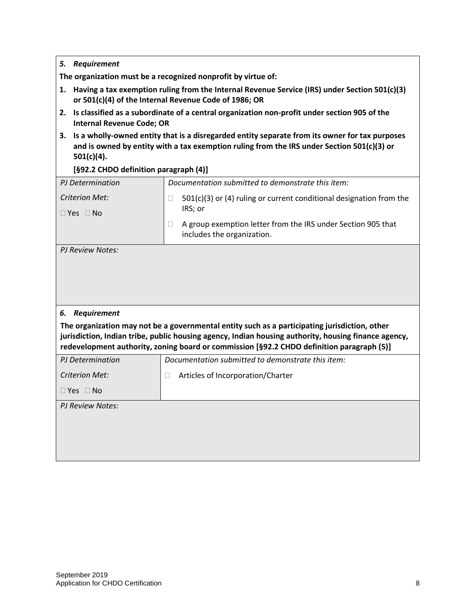| <b>Requirement</b><br>5.                                                                                                                                                                                            |                                                                                                                                                                                                                                                                                                    |  |
|---------------------------------------------------------------------------------------------------------------------------------------------------------------------------------------------------------------------|----------------------------------------------------------------------------------------------------------------------------------------------------------------------------------------------------------------------------------------------------------------------------------------------------|--|
|                                                                                                                                                                                                                     | The organization must be a recognized nonprofit by virtue of:                                                                                                                                                                                                                                      |  |
| Having a tax exemption ruling from the Internal Revenue Service (IRS) under Section 501(c)(3)<br>1.<br>or 501(c)(4) of the Internal Revenue Code of 1986; OR                                                        |                                                                                                                                                                                                                                                                                                    |  |
| 2.<br><b>Internal Revenue Code; OR</b>                                                                                                                                                                              | Is classified as a subordinate of a central organization non-profit under section 905 of the                                                                                                                                                                                                       |  |
| Is a wholly-owned entity that is a disregarded entity separate from its owner for tax purposes<br>З.<br>and is owned by entity with a tax exemption ruling from the IRS under Section 501(c)(3) or<br>$501(c)(4)$ . |                                                                                                                                                                                                                                                                                                    |  |
| [§92.2 CHDO definition paragraph (4)]                                                                                                                                                                               |                                                                                                                                                                                                                                                                                                    |  |
| <b>PJ</b> Determination                                                                                                                                                                                             | Documentation submitted to demonstrate this item:                                                                                                                                                                                                                                                  |  |
| <b>Criterion Met:</b><br>$\Box$ Yes $\Box$ No                                                                                                                                                                       | $501(c)(3)$ or (4) ruling or current conditional designation from the<br>IRS; or                                                                                                                                                                                                                   |  |
|                                                                                                                                                                                                                     | A group exemption letter from the IRS under Section 905 that<br>Ш<br>includes the organization.                                                                                                                                                                                                    |  |
|                                                                                                                                                                                                                     |                                                                                                                                                                                                                                                                                                    |  |
| Requirement<br>6.                                                                                                                                                                                                   |                                                                                                                                                                                                                                                                                                    |  |
|                                                                                                                                                                                                                     | The organization may not be a governmental entity such as a participating jurisdiction, other<br>jurisdiction, Indian tribe, public housing agency, Indian housing authority, housing finance agency,<br>redevelopment authority, zoning board or commission [§92.2 CHDO definition paragraph (5)] |  |
| <b>PJ</b> Determination                                                                                                                                                                                             | Documentation submitted to demonstrate this item:                                                                                                                                                                                                                                                  |  |
| <b>Criterion Met:</b>                                                                                                                                                                                               | Articles of Incorporation/Charter<br>$\Box$                                                                                                                                                                                                                                                        |  |
| $\Box$ Yes $\Box$ No                                                                                                                                                                                                |                                                                                                                                                                                                                                                                                                    |  |
| PJ Review Notes:                                                                                                                                                                                                    |                                                                                                                                                                                                                                                                                                    |  |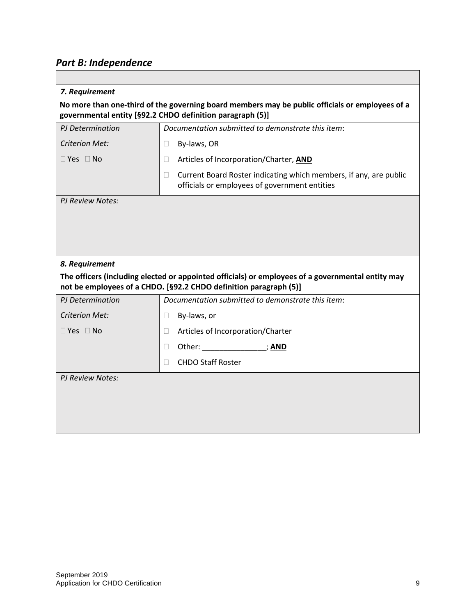# *Part B: Independence*

| 7. Requirement          |                                                                                                                                                                        |
|-------------------------|------------------------------------------------------------------------------------------------------------------------------------------------------------------------|
|                         | No more than one-third of the governing board members may be public officials or employees of a<br>governmental entity [§92.2 CHDO definition paragraph (5)]           |
| PJ Determination        | Documentation submitted to demonstrate this item:                                                                                                                      |
| <b>Criterion Met:</b>   | By-laws, OR<br>$\Box$                                                                                                                                                  |
| $\Box$ Yes $\Box$ No    | Articles of Incorporation/Charter, AND<br>П                                                                                                                            |
|                         | Current Board Roster indicating which members, if any, are public<br>$\Box$<br>officials or employees of government entities                                           |
| <b>PJ Review Notes:</b> |                                                                                                                                                                        |
|                         |                                                                                                                                                                        |
|                         |                                                                                                                                                                        |
|                         |                                                                                                                                                                        |
| 8. Requirement          |                                                                                                                                                                        |
|                         | The officers (including elected or appointed officials) or employees of a governmental entity may<br>not be employees of a CHDO. [§92.2 CHDO definition paragraph (5)] |
| PJ Determination        | Documentation submitted to demonstrate this item:                                                                                                                      |
| <b>Criterion Met:</b>   | By-laws, or<br>$\Box$                                                                                                                                                  |
| $\Box$ Yes $\Box$ No    | Articles of Incorporation/Charter<br>П                                                                                                                                 |
|                         | Other: _________________________; <u>AND</u><br>Ц                                                                                                                      |
|                         | <b>CHDO Staff Roster</b><br>П                                                                                                                                          |
| <b>PJ Review Notes:</b> |                                                                                                                                                                        |
|                         |                                                                                                                                                                        |
|                         |                                                                                                                                                                        |
|                         |                                                                                                                                                                        |
|                         |                                                                                                                                                                        |

┑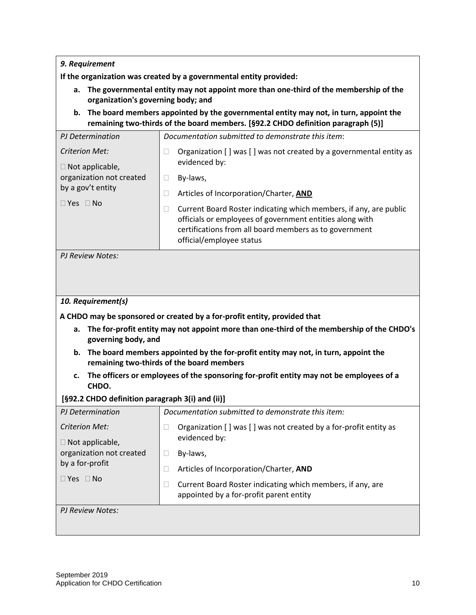**If the organization was created by a governmental entity provided:** 

- **a. The governmental entity may not appoint more than one-third of the membership of the organization's governing body; and**
- **b. The board members appointed by the governmental entity may not, in turn, appoint the remaining two-thirds of the board members. [§92.2 CHDO definition paragraph (5)]**

| PJ Determination                                                                                                  | Documentation submitted to demonstrate this item:                                                                                                                                                                                                                                                                                                                |
|-------------------------------------------------------------------------------------------------------------------|------------------------------------------------------------------------------------------------------------------------------------------------------------------------------------------------------------------------------------------------------------------------------------------------------------------------------------------------------------------|
| Criterion Met:<br>$\Box$ Not applicable,<br>organization not created<br>by a gov't entity<br>$\Box$ Yes $\Box$ No | Organization [] was [] was not created by a governmental entity as<br>evidenced by:<br>By-laws,<br>Articles of Incorporation/Charter, AND<br>Current Board Roster indicating which members, if any, are public<br>officials or employees of government entities along with<br>certifications from all board members as to government<br>official/employee status |
| PJ Review Notes:                                                                                                  |                                                                                                                                                                                                                                                                                                                                                                  |

### *10. Requirement(s)*

**A CHDO may be sponsored or created by a for-profit entity, provided that**

- **a. The for-profit entity may not appoint more than one-third of the membership of the CHDO's governing body, and**
- **b. The board members appointed by the for-profit entity may not, in turn, appoint the remaining two-thirds of the board members**
- **c. The officers or employees of the sponsoring for-profit entity may not be employees of a CHDO.**

#### **[§92.2 CHDO definition paragraph 3(i) and (ii)]**

| PJ Determination                         | Documentation submitted to demonstrate this item:                                                     |
|------------------------------------------|-------------------------------------------------------------------------------------------------------|
| Criterion Met:<br>$\Box$ Not applicable, | Organization [] was [] was not created by a for-profit entity as<br>evidenced by:                     |
| organization not created                 | By-laws,                                                                                              |
| by a for-profit                          | Articles of Incorporation/Charter, AND                                                                |
| $\Box$ Yes $\Box$ No                     | Current Board Roster indicating which members, if any, are<br>appointed by a for-profit parent entity |
| PJ Review Notes:                         |                                                                                                       |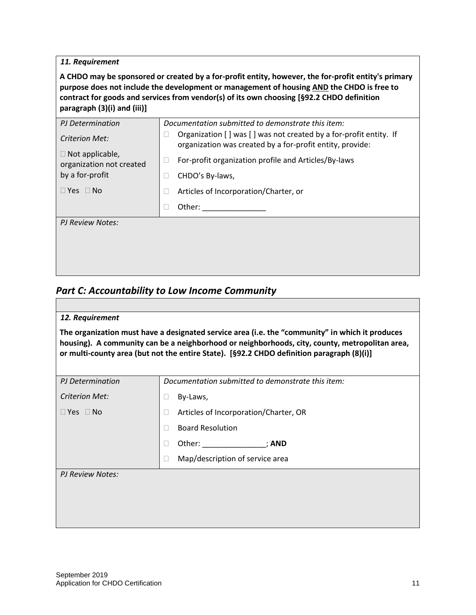$\Box$ 

**A CHDO may be sponsored or created by a for-profit entity, however, the for-profit entity's primary purpose does not include the development or management of housing AND the CHDO is free to contract for goods and services from vendor(s) of its own choosing [§92.2 CHDO definition paragraph (3)(i) and (iii)]**

| PJ Determination<br>Criterion Met:                                    | Documentation submitted to demonstrate this item:<br>Organization [] was [] was not created by a for-profit entity. If<br>organization was created by a for-profit entity, provide: |
|-----------------------------------------------------------------------|-------------------------------------------------------------------------------------------------------------------------------------------------------------------------------------|
| $\Box$ Not applicable,<br>organization not created<br>by a for-profit | For-profit organization profile and Articles/By-laws<br>CHDO's By-laws,                                                                                                             |
| $\Box$ Yes $\Box$ No                                                  | Articles of Incorporation/Charter, or                                                                                                                                               |
|                                                                       | Other:                                                                                                                                                                              |
| PJ Review Notes:                                                      |                                                                                                                                                                                     |
|                                                                       |                                                                                                                                                                                     |
|                                                                       |                                                                                                                                                                                     |
|                                                                       |                                                                                                                                                                                     |

## *Part C: Accountability to Low Income Community*

| 12. Requirement       |                                                                                                                                                                                                                                                                                                |
|-----------------------|------------------------------------------------------------------------------------------------------------------------------------------------------------------------------------------------------------------------------------------------------------------------------------------------|
|                       | The organization must have a designated service area (i.e. the "community" in which it produces<br>housing). A community can be a neighborhood or neighborhoods, city, county, metropolitan area,<br>or multi-county area (but not the entire State). [§92.2 CHDO definition paragraph (8)(i)] |
| PJ Determination      | Documentation submitted to demonstrate this item:                                                                                                                                                                                                                                              |
| <b>Criterion Met:</b> | By-Laws,                                                                                                                                                                                                                                                                                       |
| $\Box$ Yes $\Box$ No  | Articles of Incorporation/Charter, OR                                                                                                                                                                                                                                                          |
|                       | <b>Board Resolution</b>                                                                                                                                                                                                                                                                        |
|                       | Other: _______________; AND                                                                                                                                                                                                                                                                    |
|                       | Map/description of service area                                                                                                                                                                                                                                                                |
| PJ Review Notes:      |                                                                                                                                                                                                                                                                                                |
|                       |                                                                                                                                                                                                                                                                                                |
|                       |                                                                                                                                                                                                                                                                                                |
|                       |                                                                                                                                                                                                                                                                                                |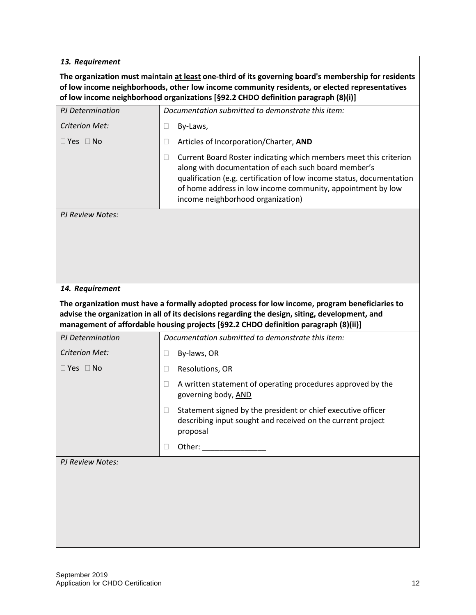**The organization must maintain at least one-third of its governing board's membership for residents of low income neighborhoods, other low income community residents, or elected representatives of low income neighborhood organizations [§92.2 CHDO definition paragraph (8)(i)]**

| PJ Determination        |        | Documentation submitted to demonstrate this item:                                                                                                                                                                                                                                                      |
|-------------------------|--------|--------------------------------------------------------------------------------------------------------------------------------------------------------------------------------------------------------------------------------------------------------------------------------------------------------|
| <b>Criterion Met:</b>   | $\Box$ | By-Laws,                                                                                                                                                                                                                                                                                               |
| $\Box$ Yes $\Box$ No    | $\Box$ | Articles of Incorporation/Charter, AND                                                                                                                                                                                                                                                                 |
|                         | $\Box$ | Current Board Roster indicating which members meet this criterion<br>along with documentation of each such board member's<br>qualification (e.g. certification of low income status, documentation<br>of home address in low income community, appointment by low<br>income neighborhood organization) |
| <b>PJ Review Notes:</b> |        |                                                                                                                                                                                                                                                                                                        |
|                         |        |                                                                                                                                                                                                                                                                                                        |
| 14. Requirement         |        |                                                                                                                                                                                                                                                                                                        |
|                         |        | The organization must have a formally adopted process for low income, program beneficiaries to<br>advise the organization in all of its decisions regarding the design, siting, development, and<br>management of affordable housing projects [§92.2 CHDO definition paragraph (8)(ii)]                |
| PJ Determination        |        | Documentation submitted to demonstrate this item:                                                                                                                                                                                                                                                      |
| <b>Criterion Met:</b>   | $\Box$ | By-laws, OR                                                                                                                                                                                                                                                                                            |
|                         |        |                                                                                                                                                                                                                                                                                                        |
| $\Box$ Yes $\Box$ No    | $\Box$ | Resolutions, OR                                                                                                                                                                                                                                                                                        |
|                         | $\Box$ | A written statement of operating procedures approved by the<br>governing body, AND                                                                                                                                                                                                                     |
|                         | $\Box$ | Statement signed by the president or chief executive officer<br>describing input sought and received on the current project<br>proposal                                                                                                                                                                |
|                         |        | Other:                                                                                                                                                                                                                                                                                                 |
| <b>PJ Review Notes:</b> |        |                                                                                                                                                                                                                                                                                                        |
|                         |        |                                                                                                                                                                                                                                                                                                        |
|                         |        |                                                                                                                                                                                                                                                                                                        |
|                         |        |                                                                                                                                                                                                                                                                                                        |
|                         |        |                                                                                                                                                                                                                                                                                                        |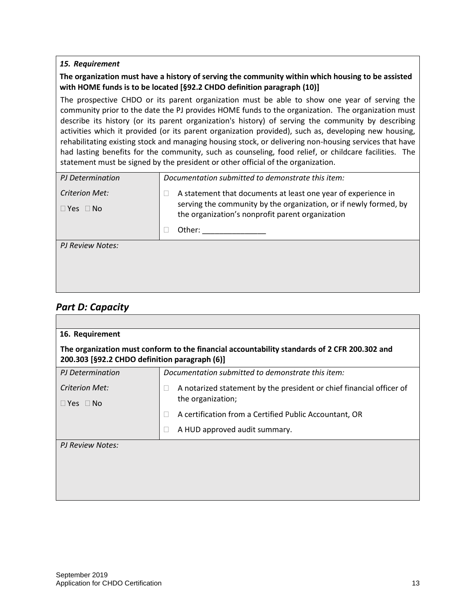#### **The organization must have a history of serving the community within which housing to be assisted with HOME funds is to be located [§92.2 CHDO definition paragraph (10)]**

The prospective CHDO or its parent organization must be able to show one year of serving the community prior to the date the PJ provides HOME funds to the organization. The organization must describe its history (or its parent organization's history) of serving the community by describing activities which it provided (or its parent organization provided), such as, developing new housing, rehabilitating existing stock and managing housing stock, or delivering non-housing services that have had lasting benefits for the community, such as counseling, food relief, or childcare facilities. The statement must be signed by the president or other official of the organization.

| PJ Determination     | Documentation submitted to demonstrate this item:                                                                     |  |  |  |  |  |
|----------------------|-----------------------------------------------------------------------------------------------------------------------|--|--|--|--|--|
| Criterion Met:       | A statement that documents at least one year of experience in                                                         |  |  |  |  |  |
| $\Box$ Yes $\Box$ No | serving the community by the organization, or if newly formed, by<br>the organization's nonprofit parent organization |  |  |  |  |  |
|                      | Other:                                                                                                                |  |  |  |  |  |
| PJ Review Notes:     |                                                                                                                       |  |  |  |  |  |
|                      |                                                                                                                       |  |  |  |  |  |

### *Part D: Capacity*

| 16. Requirement                                                                                                                               |                                                                      |  |  |  |  |  |  |  |  |
|-----------------------------------------------------------------------------------------------------------------------------------------------|----------------------------------------------------------------------|--|--|--|--|--|--|--|--|
| The organization must conform to the financial accountability standards of 2 CFR 200.302 and<br>200.303 [§92.2 CHDO definition paragraph (6)] |                                                                      |  |  |  |  |  |  |  |  |
| PJ Determination                                                                                                                              | Documentation submitted to demonstrate this item:                    |  |  |  |  |  |  |  |  |
| Criterion Met:                                                                                                                                | A notarized statement by the president or chief financial officer of |  |  |  |  |  |  |  |  |
| $\Box$ Yes $\Box$ No                                                                                                                          | the organization;                                                    |  |  |  |  |  |  |  |  |
|                                                                                                                                               | A certification from a Certified Public Accountant, OR               |  |  |  |  |  |  |  |  |
|                                                                                                                                               | A HUD approved audit summary.<br>Ш                                   |  |  |  |  |  |  |  |  |
| PJ Review Notes:                                                                                                                              |                                                                      |  |  |  |  |  |  |  |  |
|                                                                                                                                               |                                                                      |  |  |  |  |  |  |  |  |
|                                                                                                                                               |                                                                      |  |  |  |  |  |  |  |  |
|                                                                                                                                               |                                                                      |  |  |  |  |  |  |  |  |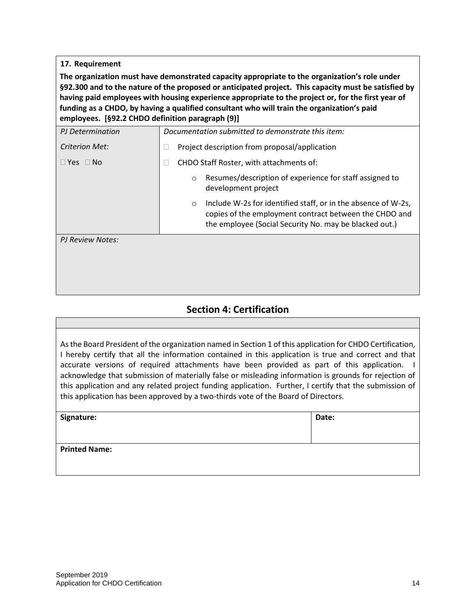**The organization must have demonstrated capacity appropriate to the organization's role under §92.300 and to the nature of the proposed or anticipated project. This capacity must be satisfied by having paid employees with housing experience appropriate to the project or, for the first year of funding as a CHDO, by having a qualified consultant who will train the organization's paid employees. [§92.2 CHDO definition paragraph (9)]**

| PJ Determination         | Documentation submitted to demonstrate this item:                                                                                                                                            |  |  |  |  |
|--------------------------|----------------------------------------------------------------------------------------------------------------------------------------------------------------------------------------------|--|--|--|--|
| Criterion Met:           | Project description from proposal/application                                                                                                                                                |  |  |  |  |
| $\Box$ Yes $\Box$<br>No. | CHDO Staff Roster, with attachments of:                                                                                                                                                      |  |  |  |  |
|                          | Resumes/description of experience for staff assigned to<br>$\circ$<br>development project                                                                                                    |  |  |  |  |
|                          | Include W-2s for identified staff, or in the absence of W-2s,<br>$\circ$<br>copies of the employment contract between the CHDO and<br>the employee (Social Security No. may be blacked out.) |  |  |  |  |
| PJ Review Notes:         |                                                                                                                                                                                              |  |  |  |  |
|                          |                                                                                                                                                                                              |  |  |  |  |
|                          |                                                                                                                                                                                              |  |  |  |  |

## **Section 4: Certification**

| As the Board President of the organization named in Section 1 of this application for CHDO Certification, |
|-----------------------------------------------------------------------------------------------------------|
| I hereby certify that all the information contained in this application is true and correct and that      |
| accurate versions of required attachments have been provided as part of this application. I               |
| acknowledge that submission of materially false or misleading information is grounds for rejection of     |
| this application and any related project funding application. Further, I certify that the submission of   |
| this application has been approved by a two-thirds vote of the Board of Directors.                        |
|                                                                                                           |

| Signature:           | Date: |
|----------------------|-------|
| <b>Printed Name:</b> |       |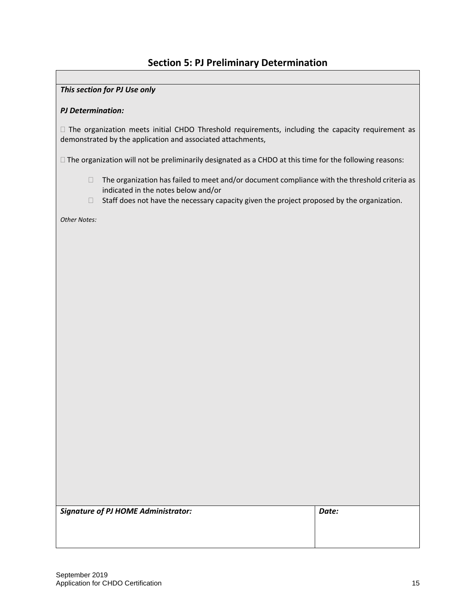## **Section 5: PJ Preliminary Determination**

#### *This section for PJ Use only*

#### *PJ Determination:*

 $\Box$  The organization meets initial CHDO Threshold requirements, including the capacity requirement as demonstrated by the application and associated attachments,

The organization will not be preliminarily designated as a CHDO at this time for the following reasons:

- $\Box$  The organization has failed to meet and/or document compliance with the threshold criteria as indicated in the notes below and/or
- $\Box$  Staff does not have the necessary capacity given the project proposed by the organization.

*Other Notes:*

*Signature of PJ HOME Administrator: Date:*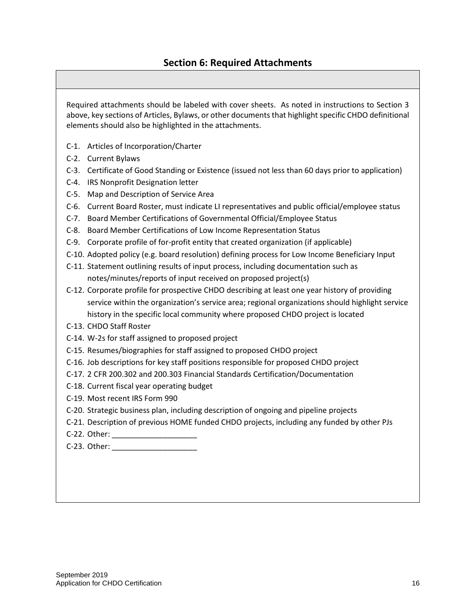Required attachments should be labeled with cover sheets. As noted in instructions to Section 3 above, key sections of Articles, Bylaws, or other documents that highlight specific CHDO definitional elements should also be highlighted in the attachments.

- C-1. Articles of Incorporation/Charter
- C-2. Current Bylaws
- C-3. Certificate of Good Standing or Existence (issued not less than 60 days prior to application)
- C-4. IRS Nonprofit Designation letter
- C-5. Map and Description of Service Area
- C-6. Current Board Roster, must indicate LI representatives and public official/employee status
- C-7. Board Member Certifications of Governmental Official/Employee Status
- C-8. Board Member Certifications of Low Income Representation Status
- C-9. Corporate profile of for-profit entity that created organization (if applicable)
- C-10. Adopted policy (e.g. board resolution) defining process for Low Income Beneficiary Input
- C-11. Statement outlining results of input process, including documentation such as notes/minutes/reports of input received on proposed project(s)
- C-12. Corporate profile for prospective CHDO describing at least one year history of providing service within the organization's service area; regional organizations should highlight service history in the specific local community where proposed CHDO project is located
- C-13. CHDO Staff Roster
- C-14. W-2s for staff assigned to proposed project
- C-15. Resumes/biographies for staff assigned to proposed CHDO project
- C-16. Job descriptions for key staff positions responsible for proposed CHDO project
- C-17. 2 CFR 200.302 and 200.303 Financial Standards Certification/Documentation
- C-18. Current fiscal year operating budget
- C-19. Most recent IRS Form 990
- C-20. Strategic business plan, including description of ongoing and pipeline projects
- C-21. Description of previous HOME funded CHDO projects, including any funded by other PJs
- C-22. Other:
- C-23. Other: \_\_\_\_\_\_\_\_\_\_\_\_\_\_\_\_\_\_\_\_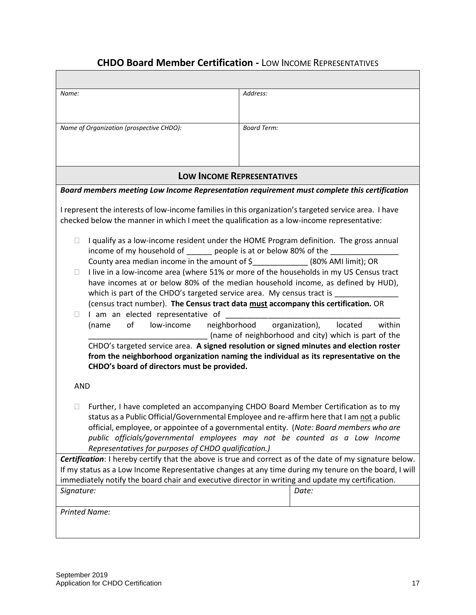## **CHDO Board Member Certification -** LOW INCOME REPRESENTATIVES

| Name:                                                                                                                                                                                               | Address:                                                                                                                                                                                                                                                                                                                                                   |  |  |  |  |
|-----------------------------------------------------------------------------------------------------------------------------------------------------------------------------------------------------|------------------------------------------------------------------------------------------------------------------------------------------------------------------------------------------------------------------------------------------------------------------------------------------------------------------------------------------------------------|--|--|--|--|
|                                                                                                                                                                                                     |                                                                                                                                                                                                                                                                                                                                                            |  |  |  |  |
| Name of Organization (prospective CHDO):                                                                                                                                                            | <b>Board Term:</b>                                                                                                                                                                                                                                                                                                                                         |  |  |  |  |
|                                                                                                                                                                                                     |                                                                                                                                                                                                                                                                                                                                                            |  |  |  |  |
|                                                                                                                                                                                                     |                                                                                                                                                                                                                                                                                                                                                            |  |  |  |  |
| <b>LOW INCOME REPRESENTATIVES</b>                                                                                                                                                                   |                                                                                                                                                                                                                                                                                                                                                            |  |  |  |  |
| Board members meeting Low Income Representation requirement must complete this certification                                                                                                        |                                                                                                                                                                                                                                                                                                                                                            |  |  |  |  |
| I represent the interests of low-income families in this organization's targeted service area. I have<br>checked below the manner in which I meet the qualification as a low-income representative: |                                                                                                                                                                                                                                                                                                                                                            |  |  |  |  |
| $\Box$<br>income of my household of _______ people is at or below 80% of the ____________                                                                                                           | I qualify as a low-income resident under the HOME Program definition. The gross annual                                                                                                                                                                                                                                                                     |  |  |  |  |
| County area median income in the amount of \$______________(80% AMI limit); OR                                                                                                                      |                                                                                                                                                                                                                                                                                                                                                            |  |  |  |  |
| $\Box$                                                                                                                                                                                              | I live in a low-income area (where 51% or more of the households in my US Census tract                                                                                                                                                                                                                                                                     |  |  |  |  |
|                                                                                                                                                                                                     | have incomes at or below 80% of the median household income, as defined by HUD),                                                                                                                                                                                                                                                                           |  |  |  |  |
| which is part of the CHDO's targeted service area. My census tract is                                                                                                                               |                                                                                                                                                                                                                                                                                                                                                            |  |  |  |  |
| (census tract number). The Census tract data must accompany this certification. OR<br>I am an elected representative of<br>$\mathbf{L}$                                                             |                                                                                                                                                                                                                                                                                                                                                            |  |  |  |  |
| neighborhood<br>(name<br>οf<br>low-income<br>organization),<br>located<br>within                                                                                                                    |                                                                                                                                                                                                                                                                                                                                                            |  |  |  |  |
| (name of neighborhood and city) which is part of the                                                                                                                                                |                                                                                                                                                                                                                                                                                                                                                            |  |  |  |  |
|                                                                                                                                                                                                     | CHDO's targeted service area. A signed resolution or signed minutes and election roster                                                                                                                                                                                                                                                                    |  |  |  |  |
| CHDO's board of directors must be provided.                                                                                                                                                         | from the neighborhood organization naming the individual as its representative on the                                                                                                                                                                                                                                                                      |  |  |  |  |
|                                                                                                                                                                                                     |                                                                                                                                                                                                                                                                                                                                                            |  |  |  |  |
| <b>AND</b>                                                                                                                                                                                          |                                                                                                                                                                                                                                                                                                                                                            |  |  |  |  |
| $\Box$<br>Representatives for purposes of CHDO qualification.)                                                                                                                                      | Further, I have completed an accompanying CHDO Board Member Certification as to my<br>status as a Public Official/Governmental Employee and re-affirm here that I am not a public<br>official, employee, or appointee of a governmental entity. (Note: Board members who are<br>public officials/governmental employees may not be counted as a Low Income |  |  |  |  |
|                                                                                                                                                                                                     | Certification: I hereby certify that the above is true and correct as of the date of my signature below.                                                                                                                                                                                                                                                   |  |  |  |  |
|                                                                                                                                                                                                     | If my status as a Low Income Representative changes at any time during my tenure on the board, I will                                                                                                                                                                                                                                                      |  |  |  |  |
| immediately notify the board chair and executive director in writing and update my certification.<br>Signature:<br>Date:                                                                            |                                                                                                                                                                                                                                                                                                                                                            |  |  |  |  |
|                                                                                                                                                                                                     |                                                                                                                                                                                                                                                                                                                                                            |  |  |  |  |
| <b>Printed Name:</b>                                                                                                                                                                                |                                                                                                                                                                                                                                                                                                                                                            |  |  |  |  |
|                                                                                                                                                                                                     |                                                                                                                                                                                                                                                                                                                                                            |  |  |  |  |
|                                                                                                                                                                                                     |                                                                                                                                                                                                                                                                                                                                                            |  |  |  |  |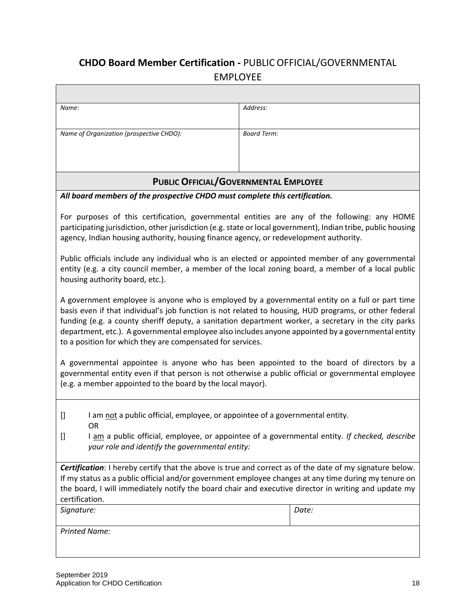## **CHDO Board Member Certification -** PUBLIC OFFICIAL/GOVERNMENTAL EMPLOYEE

| Name:                                    | Address:           |
|------------------------------------------|--------------------|
|                                          |                    |
| Name of Organization (prospective CHDO): | <b>Board Term:</b> |
|                                          |                    |
|                                          |                    |
|                                          |                    |

## **PUBLIC OFFICIAL/GOVERNMENTAL EMPLOYEE**

### *All board members of the prospective CHDO must complete this certification.*

For purposes of this certification, governmental entities are any of the following: any HOME participating jurisdiction, other jurisdiction (e.g. state or local government), Indian tribe, public housing agency, Indian housing authority, housing finance agency, or redevelopment authority.

Public officials include any individual who is an elected or appointed member of any governmental entity (e.g. a city council member, a member of the local zoning board, a member of a local public housing authority board, etc.).

A government employee is anyone who is employed by a governmental entity on a full or part time basis even if that individual's job function is not related to housing, HUD programs, or other federal funding (e.g. a county sheriff deputy, a sanitation department worker, a secretary in the city parks department, etc.). A governmental employee also includes anyone appointed by a governmental entity to a position for which they are compensated for services.

A governmental appointee is anyone who has been appointed to the board of directors by a governmental entity even if that person is not otherwise a public official or governmental employee (e.g. a member appointed to the board by the local mayor).

- [] I am not a public official, employee, or appointee of a governmental entity. OR
- [] I am a public official, employee, or appointee of a governmental entity. *If checked, describe your role and identify the governmental entity:*

*Certification*: I hereby certify that the above is true and correct as of the date of my signature below. If my status as a public official and/or government employee changes at any time during my tenure on the board, I will immediately notify the board chair and executive director in writing and update my certification.

*Signature: Date:*

*Printed Name:*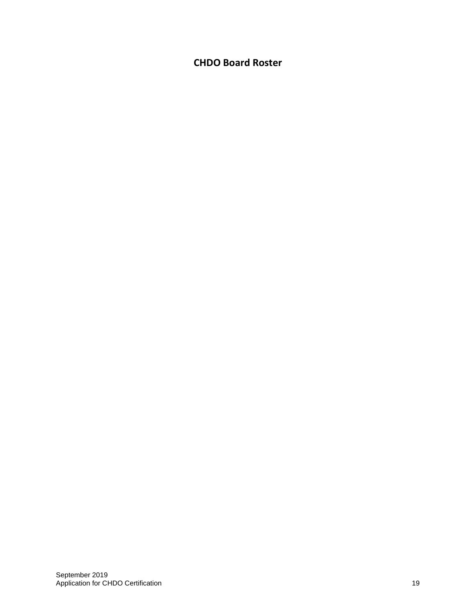## **CHDO Board Roster**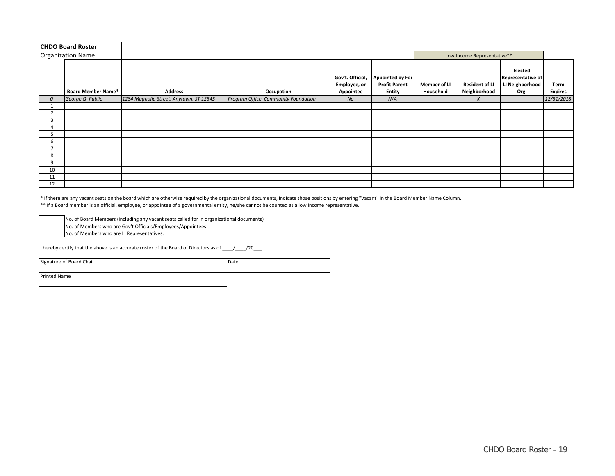|               | <b>CHDO Board Roster</b>  |                                         |                                      |                                                      |                                                     |                             |                                       |                                                                |                        |
|---------------|---------------------------|-----------------------------------------|--------------------------------------|------------------------------------------------------|-----------------------------------------------------|-----------------------------|---------------------------------------|----------------------------------------------------------------|------------------------|
|               | <b>Organization Name</b>  |                                         |                                      |                                                      |                                                     | Low Income Representative** |                                       |                                                                |                        |
|               | <b>Board Member Name*</b> | <b>Address</b>                          | Occupation                           | Gov't. Official,<br><b>Employee, or</b><br>Appointee | Appointed by For-<br><b>Profit Parent</b><br>Entity | Member of LI<br>Household   | <b>Resident of LI</b><br>Neighborhood | Elected<br><b>Representative of</b><br>LI Neighborhood<br>Org. | Term<br><b>Expires</b> |
| $\mathcal{O}$ | George Q. Public          | 1234 Magnolia Street, Anytown, ST 12345 | Program Office, Community Foundation | No                                                   | N/A                                                 |                             | $\boldsymbol{X}$                      |                                                                | 12/31/2018             |
|               |                           |                                         |                                      |                                                      |                                                     |                             |                                       |                                                                |                        |
| 2             |                           |                                         |                                      |                                                      |                                                     |                             |                                       |                                                                |                        |
| 3             |                           |                                         |                                      |                                                      |                                                     |                             |                                       |                                                                |                        |
|               |                           |                                         |                                      |                                                      |                                                     |                             |                                       |                                                                |                        |
|               |                           |                                         |                                      |                                                      |                                                     |                             |                                       |                                                                |                        |
| b             |                           |                                         |                                      |                                                      |                                                     |                             |                                       |                                                                |                        |
|               |                           |                                         |                                      |                                                      |                                                     |                             |                                       |                                                                |                        |
| 8             |                           |                                         |                                      |                                                      |                                                     |                             |                                       |                                                                |                        |
| 9             |                           |                                         |                                      |                                                      |                                                     |                             |                                       |                                                                |                        |
| 10            |                           |                                         |                                      |                                                      |                                                     |                             |                                       |                                                                |                        |
| 11            |                           |                                         |                                      |                                                      |                                                     |                             |                                       |                                                                |                        |
| 12            |                           |                                         |                                      |                                                      |                                                     |                             |                                       |                                                                |                        |

\* If there are any vacant seats on the board which are otherwise required by the organizational documents, indicate those positions by entering "Vacant" in the Board Member Name Column.

\*\* If a Board member is an official, employee, or appointee of a governmental entity, he/she cannot be counted as a low income representative.

No. of Board Members (including any vacant seats called for in organizational documents)

No. of Members who are Gov't Officials/Employees/Appointees

No. of Members who are LI Representatives.

I hereby certify that the above is an accurate roster of the Board of Directors as of \_\_\_\_/\_\_\_\_/20\_\_\_

| Signature of Board Chair | Date: |
|--------------------------|-------|
| <b>Printed Name</b>      |       |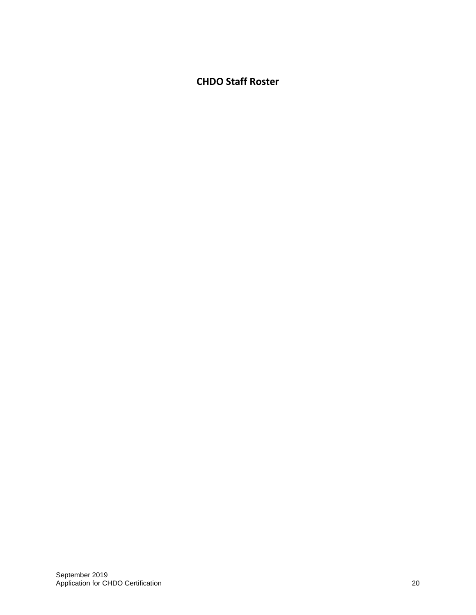## **CHDO Staff Roster**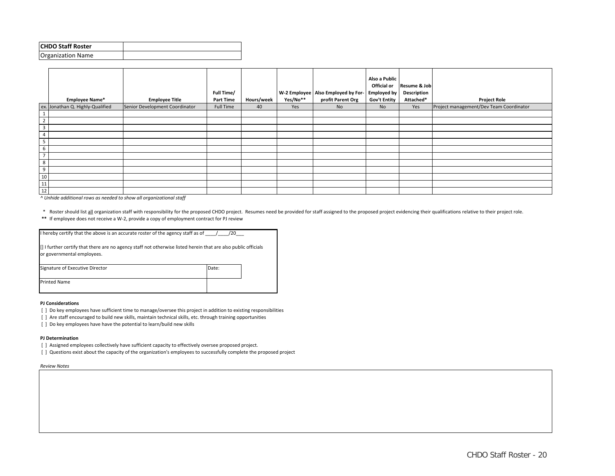| <b>CHDO Staff Roster</b> |  |
|--------------------------|--|
| <b>Organization Name</b> |  |

|                         | <b>Employee Name*</b>            | <b>Employee Title</b>          | Full Time/<br><b>Part Time</b> | Hours/week | Yes/No** | W-2 Employee   Also Employed by For-   Employed by<br>profit Parent Org | Also a Public<br>Official or<br><b>Gov't Entity</b> | Resume & Job<br><b>Description</b><br>Attached* | <b>Project Role</b>                     |
|-------------------------|----------------------------------|--------------------------------|--------------------------------|------------|----------|-------------------------------------------------------------------------|-----------------------------------------------------|-------------------------------------------------|-----------------------------------------|
|                         | ex. Jonathan Q. Highly-Qualified | Senior Development Coordinator | Full Time                      | 40         | Yes      | <b>No</b>                                                               | <b>No</b>                                           | Yes                                             | Project management/Dev Team Coordinator |
|                         |                                  |                                |                                |            |          |                                                                         |                                                     |                                                 |                                         |
| $\overline{2}$          |                                  |                                |                                |            |          |                                                                         |                                                     |                                                 |                                         |
| $\overline{\mathbf{3}}$ |                                  |                                |                                |            |          |                                                                         |                                                     |                                                 |                                         |
| $\overline{4}$          |                                  |                                |                                |            |          |                                                                         |                                                     |                                                 |                                         |
| 5                       |                                  |                                |                                |            |          |                                                                         |                                                     |                                                 |                                         |
| 6                       |                                  |                                |                                |            |          |                                                                         |                                                     |                                                 |                                         |
| $\overline{ }$          |                                  |                                |                                |            |          |                                                                         |                                                     |                                                 |                                         |
| 8                       |                                  |                                |                                |            |          |                                                                         |                                                     |                                                 |                                         |
| 9                       |                                  |                                |                                |            |          |                                                                         |                                                     |                                                 |                                         |
| 10                      |                                  |                                |                                |            |          |                                                                         |                                                     |                                                 |                                         |
| 11                      |                                  |                                |                                |            |          |                                                                         |                                                     |                                                 |                                         |
| 12                      |                                  |                                |                                |            |          |                                                                         |                                                     |                                                 |                                         |

*^ Unhide additional rows as needed to show all organizational staff*

\* Roster should list all organization staff with responsibility for the proposed CHDO project. Resumes need be provided for staff assigned to the proposed project evidencing their qualifications relative to their project r

| ** If employee does not receive a W-2, provide a copy of employment contract for PJ review |  |
|--------------------------------------------------------------------------------------------|--|
|                                                                                            |  |

| I hereby certify that the above is an accurate roster of the agency staff as of $\frac{1}{2}$<br>/20                                              |       |  |  |
|---------------------------------------------------------------------------------------------------------------------------------------------------|-------|--|--|
| $\vert$ I further certify that there are no agency staff not otherwise listed herein that are also public officials<br>or governmental employees. |       |  |  |
| Signature of Executive Director                                                                                                                   | Date: |  |  |
| <b>Printed Name</b>                                                                                                                               |       |  |  |

#### **PJ Considerations**

- [ ] Do key employees have sufficient time to manage/oversee this project in addition to existing responsibilities
- [ ] Are staff encouraged to build new skills, maintain technical skills, etc. through training opportunities
- [ ] Do key employees have have the potential to learn/build new skills

#### **PJ Determination**

- [ ] Assigned employees collectively have sufficient capacity to effectively oversee proposed project.
- [ ] Questions exist about the capacity of the organization's employees to successfully complete the proposed project

*Review Notes*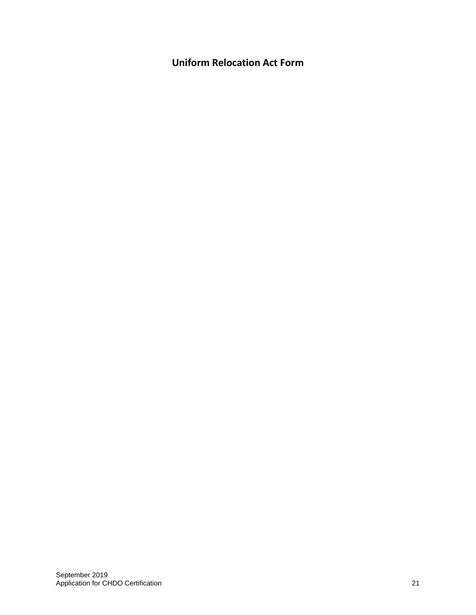**Uniform Relocation Act Form**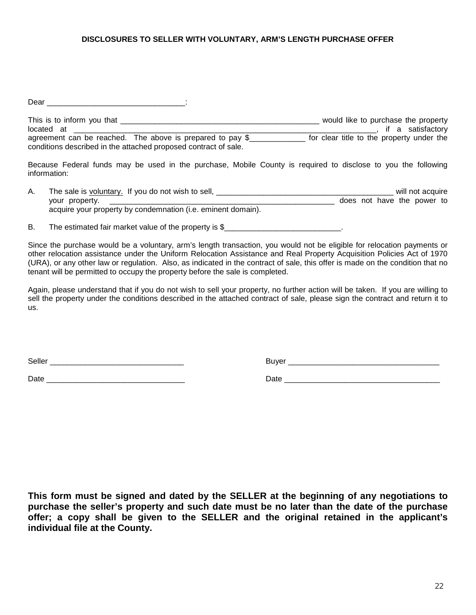#### **DISCLOSURES TO SELLER WITH VOLUNTARY, ARM'S LENGTH PURCHASE OFFER**

 $Dear$   $\qquad \qquad$   $\qquad \qquad$   $\qquad$   $\qquad \qquad$   $\qquad$   $\qquad \qquad$   $\qquad \qquad$   $\qquad \qquad$   $\qquad \qquad$   $\qquad \qquad$   $\qquad \qquad$   $\qquad \qquad$   $\qquad$   $\qquad$   $\qquad$   $\qquad$   $\qquad$   $\qquad$   $\qquad$   $\qquad$   $\qquad$   $\qquad$   $\qquad$   $\qquad$   $\qquad$   $\qquad$   $\qquad$   $\qquad$   $\qquad$   $\qquad$   $\qquad$ 

This is to inform you that \_\_\_\_\_\_\_\_\_\_\_\_\_\_\_\_\_\_\_\_\_\_\_\_\_\_\_\_\_\_\_\_\_\_\_\_\_\_\_\_\_\_\_\_\_\_ would like to purchase the property located at \_\_\_\_\_\_\_\_\_\_\_\_\_\_\_\_\_\_\_\_\_\_\_\_\_\_\_\_\_\_\_\_\_\_\_\_\_\_\_\_\_\_\_\_\_\_\_\_\_\_\_\_\_\_\_\_\_\_\_\_\_\_\_\_\_\_\_\_\_\_, if a satisfactory agreement can be reached. The above is prepared to pay \$ for clear title to the property under the conditions described in the attached proposed contract of sale.

Because Federal funds may be used in the purchase, Mobile County is required to disclose to you the following information:

- A. The sale is voluntary. If you do not wish to sell, \_\_\_\_\_\_\_\_\_\_\_\_\_\_\_\_\_\_\_\_\_\_\_\_\_\_\_\_\_\_\_\_\_\_\_\_\_\_\_\_\_ will not acquire your property. \_\_\_\_\_\_\_\_\_\_\_\_\_\_\_\_\_\_\_\_\_\_\_\_\_\_\_\_\_\_\_\_\_\_\_\_\_\_\_\_\_\_\_\_\_\_\_\_\_\_\_\_ does not have the power to acquire your property by condemnation (i.e. eminent domain).
- B. The estimated fair market value of the property is \$

Since the purchase would be a voluntary, arm's length transaction, you would not be eligible for relocation payments or other relocation assistance under the Uniform Relocation Assistance and Real Property Acquisition Policies Act of 1970 (URA), or any other law or regulation. Also, as indicated in the contract of sale, this offer is made on the condition that no tenant will be permitted to occupy the property before the sale is completed.

Again, please understand that if you do not wish to sell your property, no further action will be taken. If you are willing to sell the property under the conditions described in the attached contract of sale, please sign the contract and return it to us.

Seller \_\_\_\_\_\_\_\_\_\_\_\_\_\_\_\_\_\_\_\_\_\_\_\_\_\_\_\_\_\_\_ Buyer \_\_\_\_\_\_\_\_\_\_\_\_\_\_\_\_\_\_\_\_\_\_\_\_\_\_\_\_\_\_\_\_\_\_\_

 $\Box$ ate  $\Box$ 

**This form must be signed and dated by the SELLER at the beginning of any negotiations to purchase the seller's property and such date must be no later than the date of the purchase offer; a copy shall be given to the SELLER and the original retained in the applicant's individual file at the County.**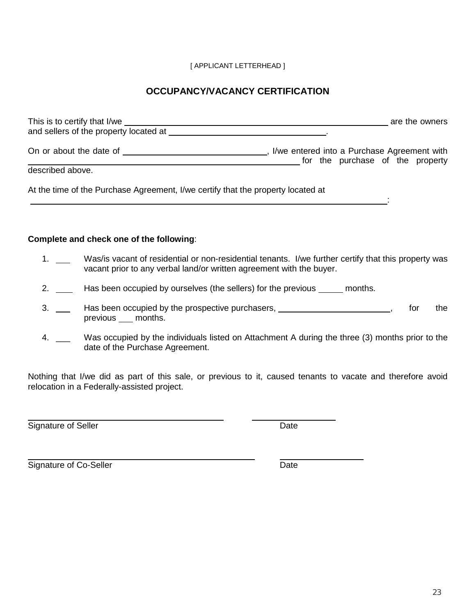### [ APPLICANT LETTERHEAD ]

## **OCCUPANCY/VACANCY CERTIFICATION**

| and sellers of the property located at                                           | are the owners                                                                  |
|----------------------------------------------------------------------------------|---------------------------------------------------------------------------------|
|                                                                                  | I/we entered into a Purchase Agreement with<br>for the purchase of the property |
| described above.                                                                 |                                                                                 |
| At the time of the Purchase Agreement, I/we certify that the property located at |                                                                                 |
|                                                                                  |                                                                                 |

### **Complete and check one of the following**:

- 1. Was/is vacant of residential or non-residential tenants. I/we further certify that this property was vacant prior to any verbal land/or written agreement with the buyer.
- 2. \_\_\_\_ Has been occupied by ourselves (the sellers) for the previous \_\_\_\_\_ months.
- 3. \_\_\_ Has been occupied by the prospective purchasers, \_\_\_\_\_\_\_\_\_\_\_\_\_\_\_\_\_\_\_\_\_\_, for the previous \_\_\_ months.
- 4. \_\_ Was occupied by the individuals listed on Attachment A during the three (3) months prior to the date of the Purchase Agreement.

Nothing that I/we did as part of this sale, or previous to it, caused tenants to vacate and therefore avoid relocation in a Federally-assisted project.

Signature of Seller Date

Signature of Co-Seller **Date** Date